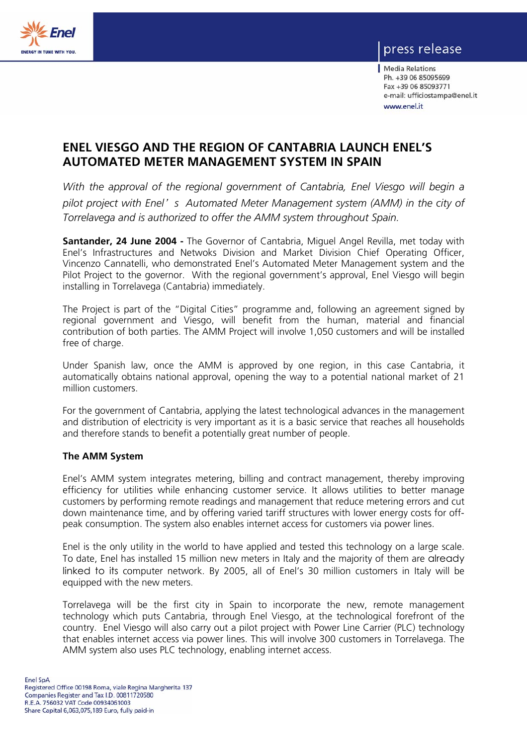

## press release

| Media Relations Ph. +39 06 85095699 Fax +39 06 85093771 e-mail: ufficiostampa@enel.it www.enel.it

## **ENEL VIESGO AND THE REGION OF CANTABRIA LAUNCH ENEL'S AUTOMATED METER MANAGEMENT SYSTEM IN SPAIN**

*With the approval of the regional government of Cantabria, Enel Viesgo will begin a pilot project with Enel*' *s Automated Meter Management system (AMM) in the city of Torrelavega and is authorized to offer the AMM system throughout Spain.* 

**Santander, 24 June 2004 -** The Governor of Cantabria, Miguel Angel Revilla, met today with Enel's Infrastructures and Netwoks Division and Market Division Chief Operating Officer, Vincenzo Cannatelli, who demonstrated Enel's Automated Meter Management system and the Pilot Project to the governor. With the regional government's approval, Enel Viesgo will begin installing in Torrelavega (Cantabria) immediately.

The Project is part of the "Digital Cities" programme and, following an agreement signed by regional government and Viesgo, will benefit from the human, material and financial contribution of both parties. The AMM Project will involve 1,050 customers and will be installed free of charge.

Under Spanish law, once the AMM is approved by one region, in this case Cantabria, it automatically obtains national approval, opening the way to a potential national market of 21 million customers.

For the government of Cantabria, applying the latest technological advances in the management and distribution of electricity is very important as it is a basic service that reaches all households and therefore stands to benefit a potentially great number of people.

## **The AMM System**

Enel's AMM system integrates metering, billing and contract management, thereby improving efficiency for utilities while enhancing customer service. It allows utilities to better manage customers by performing remote readings and management that reduce metering errors and cut down maintenance time, and by offering varied tariff structures with lower energy costs for offpeak consumption. The system also enables internet access for customers via power lines.

Enel is the only utility in the world to have applied and tested this technology on a large scale. To date, Enel has installed 15 million new meters in Italy and the majority of them are already linked to its computer network. By 2005, all of Enel's 30 million customers in Italy will be equipped with the new meters.

Torrelavega will be the first city in Spain to incorporate the new, remote management technology which puts Cantabria, through Enel Viesgo, at the technological forefront of the country. Enel Viesgo will also carry out a pilot project with Power Line Carrier (PLC) technology that enables internet access via power lines. This will involve 300 customers in Torrelavega. The AMM system also uses PLC technology, enabling internet access.